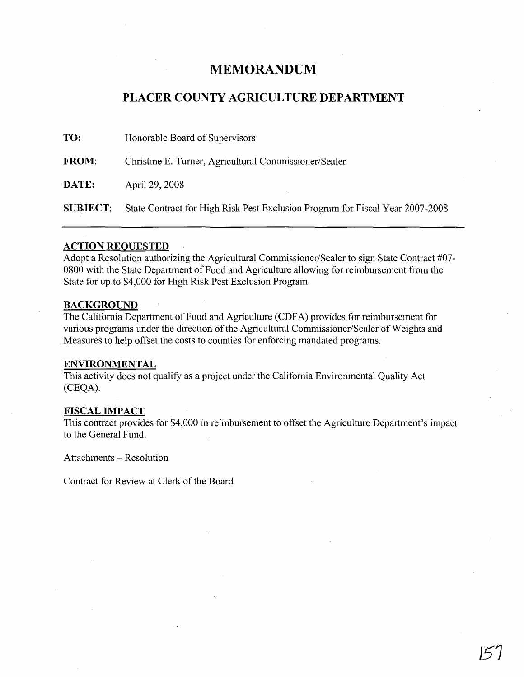## **MEMORANDUM**

### **PLACER COUNTY AGRICULTURE DEPARTMENT**

| TO:             | Honorable Board of Supervisors                                                |
|-----------------|-------------------------------------------------------------------------------|
| <b>FROM:</b>    | Christine E. Turner, Agricultural Commissioner/Sealer                         |
| <b>DATE:</b>    | April 29, 2008                                                                |
| <b>SUBJECT:</b> | State Contract for High Risk Pest Exclusion Program for Fiscal Year 2007-2008 |

#### **ACTION REQUESTED**

Adopt a Resolution authorizing the Agricultural Commissioner/Sealer to sign State Contract #07- 0800 with the State Department of Food and Agriculture allowing for reimbursement from the State for up to \$4,000 for High Risk Pest Exclusion Program.

#### **BACKGROUND**

The California Department of Food and Agriculture (CDFA) provides for reimbursement for various programs under the direction of the Agricultural Commissioner/Sealer of Weights and Measures to help offset the costs to counties for enforcing mandated programs.

#### **ENVIRONMENTAL**

This activity does not qualify as a project under the California Environmental Quality Act (CEQA).

#### **FISCAL IMPACT**

This contract provides for \$4,000 in reimbursement to offset the Agriculture Department's impact to the General Fund.

Attachments - Resolution

Contract for Review at Clerk of the Board